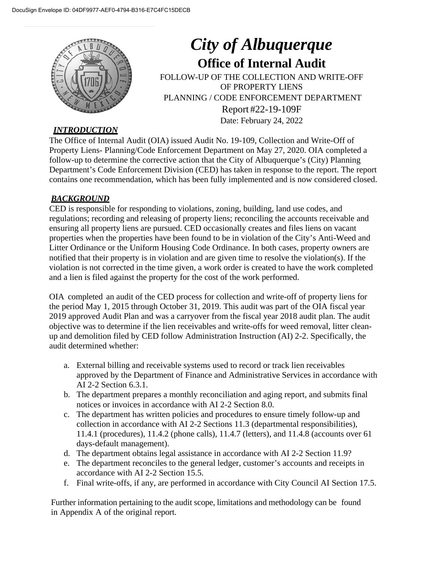

# *City of Albuquerque* **Office of Internal Audit** FOLLOW-UP OF THE COLLECTION AND WRITE-OFF OF PROPERTY LIENS PLANNING / CODE ENFORCEMENT DEPARTMENT Report #22-19-109F Date: February 24, 2022

### *INTRODUCTION*

The Office of Internal Audit (OIA) issued Audit No. 19-109, Collection and Write-Off of Property Liens- Planning/Code Enforcement Department on May 27, 2020. OIA completed a follow-up to determine the corrective action that the City of Albuquerque's (City) Planning Department's Code Enforcement Division (CED) has taken in response to the report. The report contains one recommendation, which has been fully implemented and is now considered closed.

### *BACKGROUND*

CED is responsible for responding to violations, zoning, building, land use codes, and regulations; recording and releasing of property liens; reconciling the accounts receivable and ensuring all property liens are pursued. CED occasionally creates and files liens on vacant properties when the properties have been found to be in violation of the City's Anti-Weed and Litter Ordinance or the Uniform Housing Code Ordinance. In both cases, property owners are notified that their property is in violation and are given time to resolve the violation(s). If the violation is not corrected in the time given, a work order is created to have the work completed and a lien is filed against the property for the cost of the work performed.

OIA completed an audit of the CED process for collection and write-off of property liens for the period May 1, 2015 through October 31, 2019. This audit was part of the OIA fiscal year 2019 approved Audit Plan and was a carryover from the fiscal year 2018 audit plan. The audit objective was to determine if the lien receivables and write-offs for weed removal, litter cleanup and demolition filed by CED follow Administration Instruction (AI) 2-2. Specifically, the audit determined whether:

- a. External billing and receivable systems used to record or track lien receivables approved by the Department of Finance and Administrative Services in accordance with AI 2-2 Section 6.3.1.
- b. The department prepares a monthly reconciliation and aging report, and submits final notices or invoices in accordance with AI 2-2 Section 8.0.
- c. The department has written policies and procedures to ensure timely follow-up and collection in accordance with AI 2-2 Sections 11.3 (departmental responsibilities), 11.4.1 (procedures), 11.4.2 (phone calls), 11.4.7 (letters), and 11.4.8 (accounts over 61 days-default management).
- d. The department obtains legal assistance in accordance with AI 2-2 Section 11.9?
- e. The department reconciles to the general ledger, customer's accounts and receipts in accordance with AI 2-2 Section 15.5.
- f. Final write-offs, if any, are performed in accordance with City Council AI Section 17.5.

Further information pertaining to the audit scope, limitations and methodology can be found in Appendix A of the original report.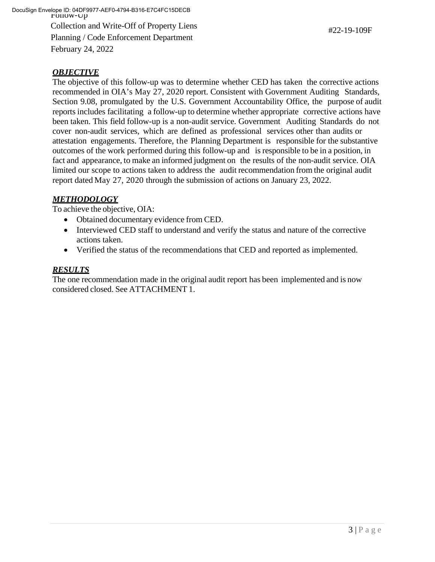Follow-Up DocuSign Envelope ID: 04DF9977-AEF0-4794-B316-E7C4FC15DECBCollection and Write-Off of Property Liens Planning / Code Enforcement Department February 24, 2022

#22-19-109F

### *OBJECTIVE*

The objective of this follow-up was to determine whether CED has taken the corrective actions recommended in OIA's May 27, 2020 report. Consistent with Government Auditing Standards, Section 9.08, promulgated by the U.S. Government Accountability Office, the purpose of audit reports includes facilitating a follow-up to determine whether appropriate corrective actions have been taken. This field follow-up is a non-audit service. Government Auditing Standards do not cover non-audit services, which are defined as professional services other than audits or attestation engagements. Therefore, the Planning Department is responsible for the substantive outcomes of the work performed during this follow-up and is responsible to be in a position, in fact and appearance, to make an informed judgment on the results of the non-audit service. OIA limited our scope to actions taken to address the audit recommendation from the original audit report dated May 27, 2020 through the submission of actions on January 23, 2022.

#### *METHODOLOGY*

To achieve the objective, OIA:

- Obtained documentary evidence from CED.
- Interviewed CED staff to understand and verify the status and nature of the corrective actions taken.
- Verified the status of the recommendations that CED and reported as implemented.

#### *RESULTS*

The one recommendation made in the original audit report has been implemented and is now considered closed. See ATTACHMENT 1.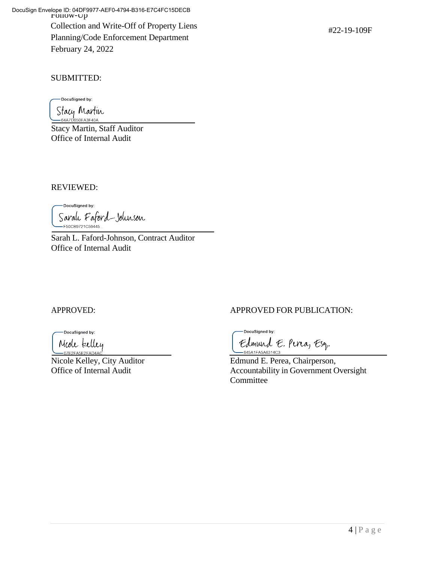Follow-Up DocuSign Envelope ID: 04DF9977-AEF0-4794-B316-E7C4FC15DECBCollection and Write-Off of Property Liens Planning/Code Enforcement Department February 24, 2022

SUBMITTED:

DocuSigned by:

Stacy Martin

Stacy Martin, Staff Auditor Office of Internal Audit

REVIEWED:

DocuSigned by: Sarah Faford-Johnson -<br>F50CB9721C59445...

Sarah L. Faford-Johnson, Contract Auditor Office of Internal Audit

DocuSigned by: Mede telley

-07E2FA5E2FAD4A Nicole Kelley, City Auditor Edmund E. Perea, Chairperson,

## APPROVED: APPROVED FOR PUBLICATION:

DocuSigned by: Edmund E. Pina, Esq. -645A1FA5A6314C3...

Office of Internal Audit Accountability in Government Oversight **Committee**